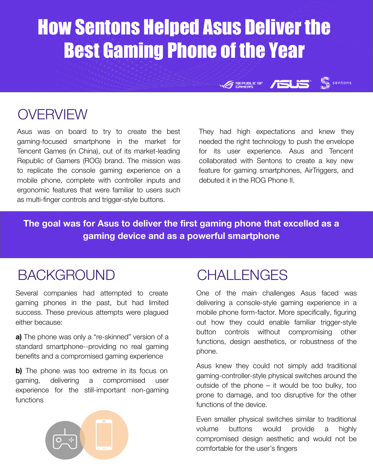# How Sentons Helped Asus Deliver the Best Gaming Phone of the Year

**OVERVIEW** 

Asus was on board to try to create the best gaming-focused smartphone in the market for Tencent Games (in China), out of its market-leading Republic of Gamers (ROG) brand. The mission was to replicate the console gaming experience on a mobile phone, complete with controller inputs and ergonomic features that were familiar to users such as multi-finger controls and trigger-style buttons.

They had high expectations and knew they needed the right technology to push the envelope for its user experience. Asus and Tencent collaborated with Sentons to create a key new feature for gaming smartphones, AirTriggers, and debuted it in the ROG Phone II.

**REPUBLIC OF** 

sentons

**The goal was for Asus to deliver the first gaming phone that excelled as a gaming device and as a powerful smartphone**

#### BACKGROUND

Several companies had attempted to create gaming phones in the past, but had limited success. These previous attempts were plagued either because:

**a)** The phone was only a "re-skinned" version of a standard smartphone--providing no real gaming benefits and a compromised gaming experience

**b)** The phone was too extreme in its focus on gaming, delivering a compromised user experience for the still-important non-gaming functions

### **CHALLENGES**

One of the main challenges Asus faced was delivering a console-style gaming experience in a mobile phone form-factor. More specifically, figuring out how they could enable familiar trigger-style button controls without compromising other functions, design aesthetics, or robustness of the phone.

Asus knew they could not simply add traditional gaming-controller-style physical switches around the outside of the phone – it would be too bulky, too prone to damage, and too disruptive for the other functions of the device.

Even smaller physical switches similar to traditional volume buttons would provide a highly compromised design aesthetic and would not be comfortable for the user's fingers